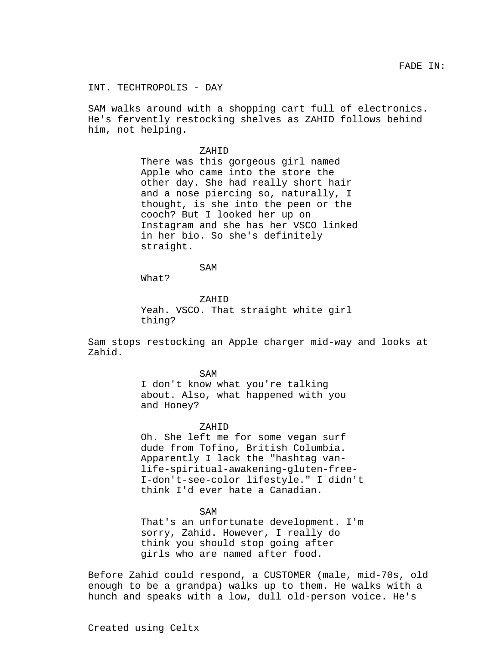INT. TECHTROPOLIS - DAY

SAM walks around with a shopping cart full of electronics. He's fervently restocking shelves as ZAHID follows behind him, not helping.

> ZAHID There was this gorgeous girl named Apple who came into the store the other day. She had really short hair and a nose piercing so, naturally, I thought, is she into the peen or the cooch? But I looked her up on Instagram and she has her VSCO linked in her bio. So she's definitely straight.

> > SAM

What?

ZAHID Yeah. VSCO. That straight white girl thing?

Sam stops restocking an Apple charger mid-way and looks at Zahid.

SAM

I don't know what you're talking about. Also, what happened with you and Honey?

ZAHID

Oh. She left me for some vegan surf dude from Tofino, British Columbia. Apparently I lack the "hashtag vanlife-spiritual-awakening-gluten-free-I-don't-see-color lifestyle." I didn't think I'd ever hate a Canadian.

SAM

That's an unfortunate development. I'm sorry, Zahid. However, I really do think you should stop going after girls who are named after food.

Before Zahid could respond, a CUSTOMER (male, mid-70s, old enough to be a grandpa) walks up to them. He walks with a hunch and speaks with a low, dull old-person voice. He's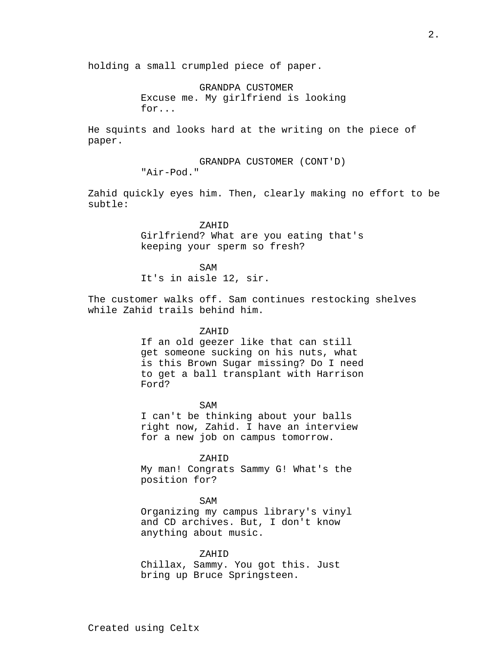holding a small crumpled piece of paper.

GRANDPA CUSTOMER Excuse me. My girlfriend is looking for...

He squints and looks hard at the writing on the piece of paper.

> GRANDPA CUSTOMER (CONT'D) "Air-Pod."

Zahid quickly eyes him. Then, clearly making no effort to be subtle:

> ZAHID Girlfriend? What are you eating that's keeping your sperm so fresh?

SAM It's in aisle 12, sir.

The customer walks off. Sam continues restocking shelves while Zahid trails behind him.

### ZAHID

If an old geezer like that can still get someone sucking on his nuts, what is this Brown Sugar missing? Do I need to get a ball transplant with Harrison Ford?

SAM I can't be thinking about your balls right now, Zahid. I have an interview for a new job on campus tomorrow.

ZAHID My man! Congrats Sammy G! What's the position for?

SAM Organizing my campus library's vinyl and CD archives. But, I don't know anything about music.

ZAHID Chillax, Sammy. You got this. Just bring up Bruce Springsteen.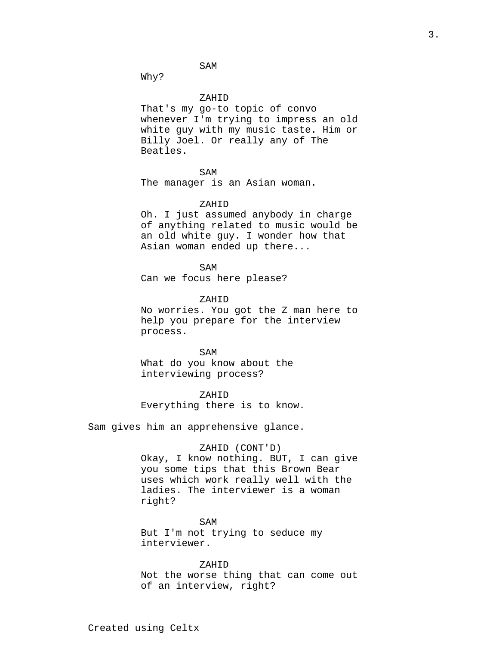SAM

Why?

## ZAHID

That's my go-to topic of convo whenever I'm trying to impress an old white guy with my music taste. Him or Billy Joel. Or really any of The Beatles.

#### SAM

The manager is an Asian woman.

## ZAHID

Oh. I just assumed anybody in charge of anything related to music would be an old white guy. I wonder how that Asian woman ended up there...

SAM

Can we focus here please?

# ZAHID

No worries. You got the Z man here to help you prepare for the interview process.

SAM What do you know about the interviewing process?

ZAHID Everything there is to know.

Sam gives him an apprehensive glance.

#### ZAHID (CONT'D)

Okay, I know nothing. BUT, I can give you some tips that this Brown Bear uses which work really well with the ladies. The interviewer is a woman right?

SAM But I'm not trying to seduce my interviewer.

### ZAHID

Not the worse thing that can come out of an interview, right?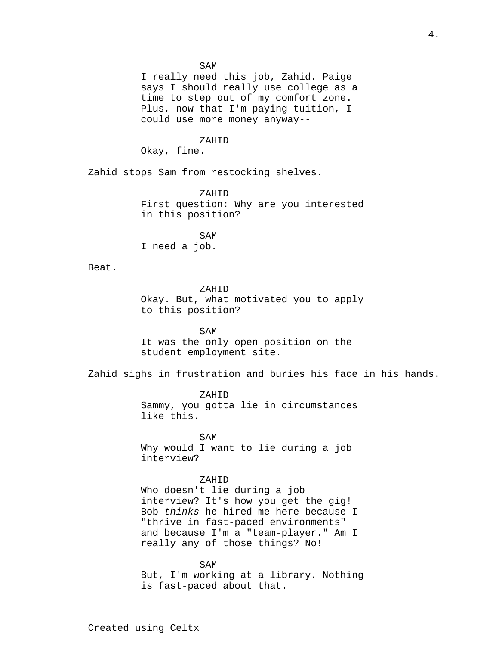#### SAM

I really need this job, Zahid. Paige says I should really use college as a time to step out of my comfort zone. Plus, now that I'm paying tuition, I could use more money anyway--

# ZAHID

Okay, fine.

Zahid stops Sam from restocking shelves.

ZAHID First question: Why are you interested in this position?

SAM I need a job.

Beat.

## ZAHID

Okay. But, what motivated you to apply to this position?

SAM It was the only open position on the student employment site.

Zahid sighs in frustration and buries his face in his hands.

ZAHID Sammy, you gotta lie in circumstances like this.

SAM Why would I want to lie during a job interview?

#### ZAHID

Who doesn't lie during a job interview? It's how you get the gig! Bob thinks he hired me here because I "thrive in fast-paced environments" and because I'm a "team-player." Am I really any of those things? No!

SAM

But, I'm working at a library. Nothing is fast-paced about that.